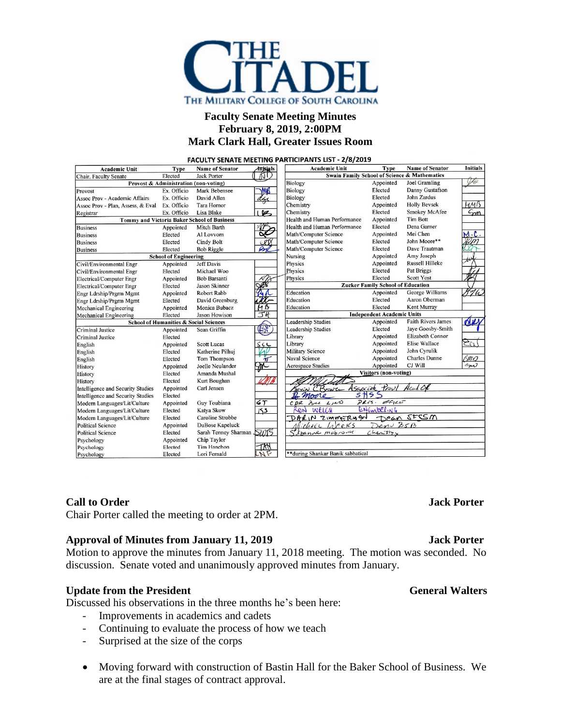

# **Faculty Senate Meeting Minutes February 8, 2019, 2:00PM Mark Clark Hall, Greater Issues Room**

FACULTY SENATE MEETING PARTICIPANTS LIST - 2/8/2019 **Name of Senator Academic Unit Type Name of Senator Initials Academic Unit Type** *Initials*  $AD$ **Swain Family School of Science & Mathematics** Chair, Faculty Senate Elected **Jack Porter** Va **Joel Gramling** Biology Appointed Provost & Administration (non-voting) MARS Biology Elected Danny Gustafson Provost Ex. Officio Mark Bebensee Assoc Prov - Academic Affairs Ex. Officio David Allen Biology Elected **John Zardus** day Assoc Prov - Plan, Assess, & Eval Ex. Officio Tara Hornor Chemistry Appointed **Holly Bevsek** HMB  ${\rm Elected}$ Smokey McAfee  $\zeta_{\rm mn}$ Ex. Officio Lisa Blake  $\triangleright$ Chemistry Registrar Appointed Tommy and Victoria Baker School of Business Health and Human Performance **Tim Bott** Dena Garner Health and Human Performance Elected Mitch Barth **Business** Appointed ∝ Mei Chen Elected Al Lovvorn Math/Computer Science Appointed **Business** John Moore\*\* Math/Computer Science Elected **Business** Elected Cindy Bolt  $CPT$ Elected **Bob Riggle** Math/Computer Science Elected Dave Trautman **Business** Nursing Appointed Amy Joseph **School of Engineering** Jeff Davis Physics Appointed Russell Hilleke Civil/Environmental Engr Appointed Physics Elected Pat Briggs Michael Woo Elected Civil/Environmental Engr  ${\rm Elected}$ Scott Yost Appointed **Bob Barsanti** Physics Electrical/Computer Engr **Zucker Family School of Education** Jason Skinner Electrical/Computer Engr Elected Education George Williams Appointed ぞけん Engr Ldrship/Prgrm Mgmt Appointed Robert Rabb Education Elected Aaron Oberman Engr Ldrship/Prgrm Mgmt Elected David Greenburg Education Elected Kent Murray Mechanical Engineering Appointed Monica Bubacz **Independent Academic Units Mechanical Engineering** Elected **Jason Howison Leadership Studies Faith Rivers James**  $d\mu$ **School of Humanities & Social Sciences** Appointed Appointed (LSK **Leadership Studies** Jaye Goosby-Smith **Criminal Justice** Sean Griffin Elected Elizabeth Connor Appointed Library Criminal Justice Elected Elise Wallace Library Appointed English Appointed **Scott Lucas** Military Science Appointed John Cyrulik English Elected Katherine Pilhuj **Charles Dunne** Elected Tom Thompson **Naval Science** Appointed <u>(MQ</u> English Appointed Appointed Joelle Neulander 灬 Aerospace Studies CJ Will sn History **Visitors (non-voting)** Elected Amanda Mushal History Elected Kurt Boughan History scrìok 7<br>5 H S Intelligence and Security Studies Carl Jensen Provi Acad Of Appointed Bowe Intelligence and Security Studies Elected moore PRES OFFICE Guy Toubiana  $C$  $p$ a Bru LIND Modern Languages/Lit/Culture Appointed  $67$ Modern Languages/Lit/Culture Elected Katya Skow دکا KON WELCH Dean StSSM Modern Languages/Lit/Culture Elected Caroline Strobbe DARIN ZIMMERHAN Denne BSB **Political Science** Appointed DuBose Kapeluck inhere Liberts **Political Science** Elected Sarah Tenney Sharmar SWIS  $Chen.$ sty Azanne mabronu Chip Taylor Appointed Psychology Tim Hanchon TM Elected Psychology \*\*during Shankar Banik sabbatical Lori Fernald Elected Psychology

# **Call to Order Jack Porter**

Chair Porter called the meeting to order at 2PM.

# **Approval of Minutes from January 11, 2019 Jack Porter**

Motion to approve the minutes from January 11, 2018 meeting. The motion was seconded. No discussion. Senate voted and unanimously approved minutes from January.

# **Update from** the President General Walters General Walters

Discussed his observations in the three months he's been here:

- Improvements in academics and cadets
- Continuing to evaluate the process of how we teach
- Surprised at the size of the corps
- Moving forward with construction of Bastin Hall for the Baker School of Business. We are at the final stages of contract approval.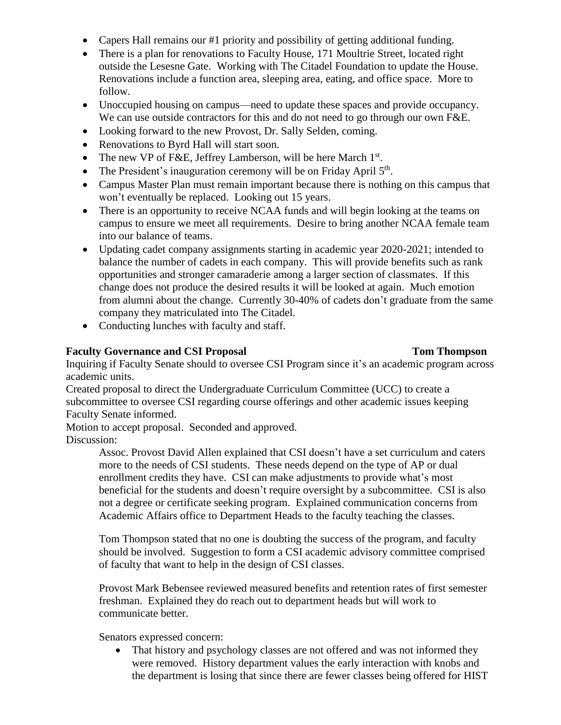- Capers Hall remains our #1 priority and possibility of getting additional funding.
- There is a plan for renovations to Faculty House, 171 Moultrie Street, located right outside the Lesesne Gate. Working with The Citadel Foundation to update the House. Renovations include a function area, sleeping area, eating, and office space. More to follow.
- Unoccupied housing on campus—need to update these spaces and provide occupancy. We can use outside contractors for this and do not need to go through our own F&E.
- Looking forward to the new Provost, Dr. Sally Selden, coming.
- Renovations to Byrd Hall will start soon.
- The new VP of F&E, Jeffrey Lamberson, will be here March  $1<sup>st</sup>$ .
- The President's inauguration ceremony will be on Friday April  $5<sup>th</sup>$ .
- Campus Master Plan must remain important because there is nothing on this campus that won't eventually be replaced. Looking out 15 years.
- There is an opportunity to receive NCAA funds and will begin looking at the teams on campus to ensure we meet all requirements. Desire to bring another NCAA female team into our balance of teams.
- Updating cadet company assignments starting in academic year 2020-2021; intended to balance the number of cadets in each company. This will provide benefits such as rank opportunities and stronger camaraderie among a larger section of classmates. If this change does not produce the desired results it will be looked at again. Much emotion from alumni about the change. Currently 30-40% of cadets don't graduate from the same company they matriculated into The Citadel.
- Conducting lunches with faculty and staff.

# **Faculty Governance and CSI Proposal Tom Thompson**

# Inquiring if Faculty Senate should to oversee CSI Program since it's an academic program across academic units.

Created proposal to direct the Undergraduate Curriculum Committee (UCC) to create a subcommittee to oversee CSI regarding course offerings and other academic issues keeping Faculty Senate informed.

Motion to accept proposal. Seconded and approved.

Discussion:

Assoc. Provost David Allen explained that CSI doesn't have a set curriculum and caters more to the needs of CSI students. These needs depend on the type of AP or dual enrollment credits they have. CSI can make adjustments to provide what's most beneficial for the students and doesn't require oversight by a subcommittee. CSI is also not a degree or certificate seeking program. Explained communication concerns from Academic Affairs office to Department Heads to the faculty teaching the classes.

Tom Thompson stated that no one is doubting the success of the program, and faculty should be involved. Suggestion to form a CSI academic advisory committee comprised of faculty that want to help in the design of CSI classes.

Provost Mark Bebensee reviewed measured benefits and retention rates of first semester freshman. Explained they do reach out to department heads but will work to communicate better.

Senators expressed concern:

• That history and psychology classes are not offered and was not informed they were removed. History department values the early interaction with knobs and the department is losing that since there are fewer classes being offered for HIST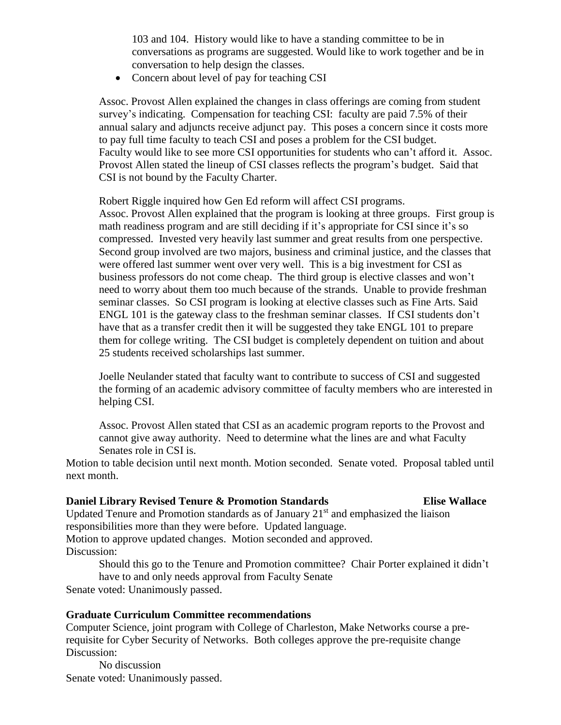103 and 104. History would like to have a standing committee to be in conversations as programs are suggested. Would like to work together and be in conversation to help design the classes.

• Concern about level of pay for teaching CSI

Assoc. Provost Allen explained the changes in class offerings are coming from student survey's indicating. Compensation for teaching CSI: faculty are paid 7.5% of their annual salary and adjuncts receive adjunct pay. This poses a concern since it costs more to pay full time faculty to teach CSI and poses a problem for the CSI budget. Faculty would like to see more CSI opportunities for students who can't afford it. Assoc. Provost Allen stated the lineup of CSI classes reflects the program's budget. Said that CSI is not bound by the Faculty Charter.

Robert Riggle inquired how Gen Ed reform will affect CSI programs.

Assoc. Provost Allen explained that the program is looking at three groups. First group is math readiness program and are still deciding if it's appropriate for CSI since it's so compressed. Invested very heavily last summer and great results from one perspective. Second group involved are two majors, business and criminal justice, and the classes that were offered last summer went over very well. This is a big investment for CSI as business professors do not come cheap. The third group is elective classes and won't need to worry about them too much because of the strands. Unable to provide freshman seminar classes. So CSI program is looking at elective classes such as Fine Arts. Said ENGL 101 is the gateway class to the freshman seminar classes. If CSI students don't have that as a transfer credit then it will be suggested they take ENGL 101 to prepare them for college writing. The CSI budget is completely dependent on tuition and about 25 students received scholarships last summer.

Joelle Neulander stated that faculty want to contribute to success of CSI and suggested the forming of an academic advisory committee of faculty members who are interested in helping CSI.

Assoc. Provost Allen stated that CSI as an academic program reports to the Provost and cannot give away authority. Need to determine what the lines are and what Faculty Senates role in CSI is.

Motion to table decision until next month. Motion seconded. Senate voted. Proposal tabled until next month.

# **Daniel Library Revised Tenure & Promotion Standards Elise Wallace**

Updated Tenure and Promotion standards as of January  $21<sup>st</sup>$  and emphasized the liaison responsibilities more than they were before. Updated language. Motion to approve updated changes. Motion seconded and approved. Discussion:

Should this go to the Tenure and Promotion committee? Chair Porter explained it didn't have to and only needs approval from Faculty Senate

Senate voted: Unanimously passed.

# **Graduate Curriculum Committee recommendations**

Computer Science, joint program with College of Charleston, Make Networks course a prerequisite for Cyber Security of Networks. Both colleges approve the pre-requisite change Discussion:

No discussion Senate voted: Unanimously passed.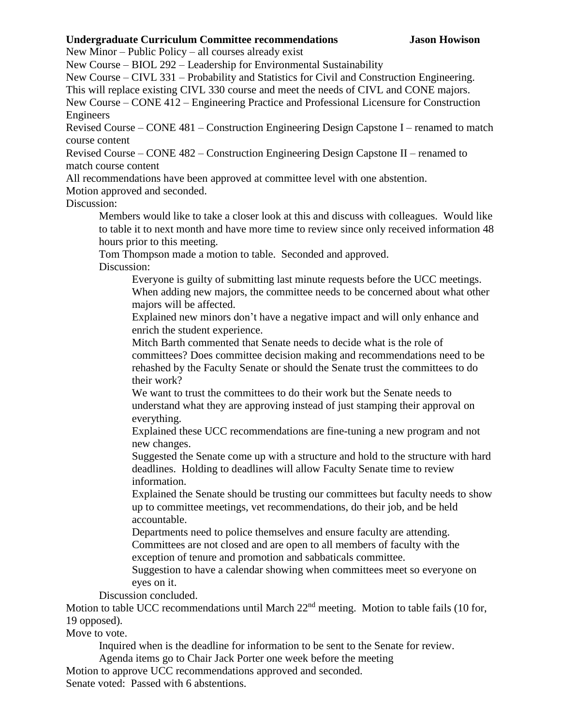# **Undergraduate Curriculum Committee recommendations Jason Howison**

New Minor – Public Policy – all courses already exist

New Course – BIOL 292 – Leadership for Environmental Sustainability

New Course – CIVL 331 – Probability and Statistics for Civil and Construction Engineering.

This will replace existing CIVL 330 course and meet the needs of CIVL and CONE majors.

New Course – CONE 412 – Engineering Practice and Professional Licensure for Construction Engineers

Revised Course – CONE 481 – Construction Engineering Design Capstone I – renamed to match course content

Revised Course – CONE 482 – Construction Engineering Design Capstone II – renamed to match course content

All recommendations have been approved at committee level with one abstention.

Motion approved and seconded.

Discussion:

Members would like to take a closer look at this and discuss with colleagues. Would like to table it to next month and have more time to review since only received information 48 hours prior to this meeting.

Tom Thompson made a motion to table. Seconded and approved.

Discussion:

Everyone is guilty of submitting last minute requests before the UCC meetings. When adding new majors, the committee needs to be concerned about what other majors will be affected.

Explained new minors don't have a negative impact and will only enhance and enrich the student experience.

Mitch Barth commented that Senate needs to decide what is the role of committees? Does committee decision making and recommendations need to be rehashed by the Faculty Senate or should the Senate trust the committees to do their work?

We want to trust the committees to do their work but the Senate needs to understand what they are approving instead of just stamping their approval on everything.

Explained these UCC recommendations are fine-tuning a new program and not new changes.

Suggested the Senate come up with a structure and hold to the structure with hard deadlines. Holding to deadlines will allow Faculty Senate time to review information.

Explained the Senate should be trusting our committees but faculty needs to show up to committee meetings, vet recommendations, do their job, and be held accountable.

Departments need to police themselves and ensure faculty are attending. Committees are not closed and are open to all members of faculty with the exception of tenure and promotion and sabbaticals committee.

Suggestion to have a calendar showing when committees meet so everyone on eyes on it.

Discussion concluded.

Motion to table UCC recommendations until March 22<sup>nd</sup> meeting. Motion to table fails (10 for, 19 opposed).

Move to vote.

Inquired when is the deadline for information to be sent to the Senate for review.

Agenda items go to Chair Jack Porter one week before the meeting

Motion to approve UCC recommendations approved and seconded.

Senate voted: Passed with 6 abstentions.